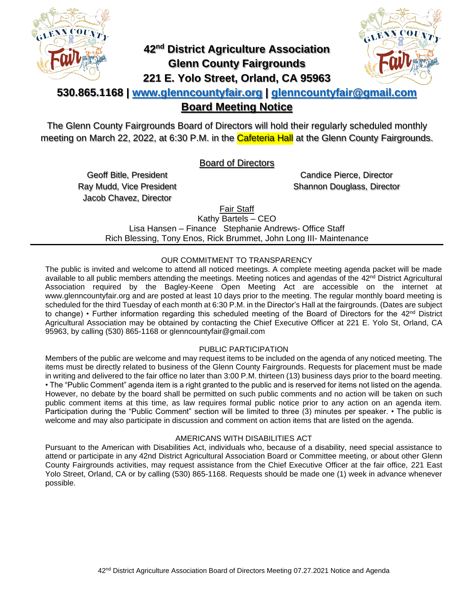

# **42nd District Agriculture Association Glenn County Fairgrounds 221 E. Yolo Street, Orland, CA 95963**



### **530.865.1168 | [www.glenncountyfair.org](http://www.glenncountyfair.org/) | [glenncountyfair@gmail.com](mailto:glenncountyfair@gmail.com) Board Meeting Notice**

The Glenn County Fairgrounds Board of Directors will hold their regularly scheduled monthly meeting on March 22, 2022, at 6:30 P.M. in the Cafeteria Hall at the Glenn County Fairgrounds.

Board of Directors

Geoff Bitle, President Ray Mudd, Vice President Jacob Chavez, Director

Candice Pierce, Director Shannon Douglass, Director

Fair Staff

Kathy Bartels – CEO Lisa Hansen – Finance Stephanie Andrews- Office Staff Rich Blessing, Tony Enos, Rick Brummet, John Long III- Maintenance

#### OUR COMMITMENT TO TRANSPARENCY

The public is invited and welcome to attend all noticed meetings. A complete meeting agenda packet will be made available to all public members attending the meetings. Meeting notices and agendas of the 42<sup>nd</sup> District Agricultural Association required by the Bagley-Keene Open Meeting Act are accessible on the internet at www.glenncountyfair.org and are posted at least 10 days prior to the meeting. The regular monthly board meeting is scheduled for the third Tuesday of each month at 6:30 P.M. in the Director's Hall at the fairgrounds. (Dates are subject to change) • Further information regarding this scheduled meeting of the Board of Directors for the 42<sup>nd</sup> District Agricultural Association may be obtained by contacting the Chief Executive Officer at 221 E. Yolo St, Orland, CA 95963, by calling (530) 865-1168 or glenncountyfair@gmail.com

#### PUBLIC PARTICIPATION

Members of the public are welcome and may request items to be included on the agenda of any noticed meeting. The items must be directly related to business of the Glenn County Fairgrounds. Requests for placement must be made in writing and delivered to the fair office no later than 3:00 P.M. thirteen (13) business days prior to the board meeting. • The "Public Comment" agenda item is a right granted to the public and is reserved for items not listed on the agenda. However, no debate by the board shall be permitted on such public comments and no action will be taken on such public comment items at this time, as law requires formal public notice prior to any action on an agenda item. Participation during the "Public Comment" section will be limited to three (3) minutes per speaker. • The public is welcome and may also participate in discussion and comment on action items that are listed on the agenda.

#### AMERICANS WITH DISABILITIES ACT

Pursuant to the American with Disabilities Act, individuals who, because of a disability, need special assistance to attend or participate in any 42nd District Agricultural Association Board or Committee meeting, or about other Glenn County Fairgrounds activities, may request assistance from the Chief Executive Officer at the fair office, 221 East Yolo Street, Orland, CA or by calling (530) 865-1168. Requests should be made one (1) week in advance whenever possible.